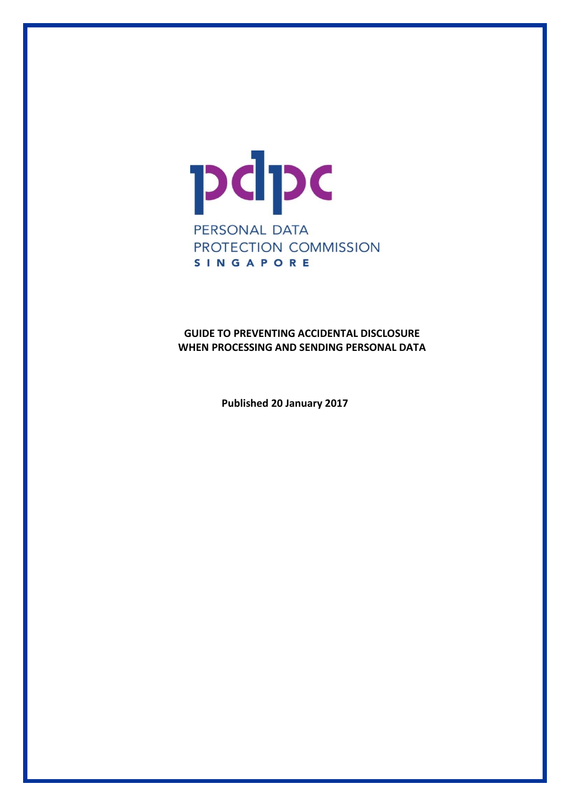

**GUIDE TO PREVENTING ACCIDENTAL DISCLOSURE WHEN PROCESSING AND SENDING PERSONAL DATA**

**Published 20 January 2017**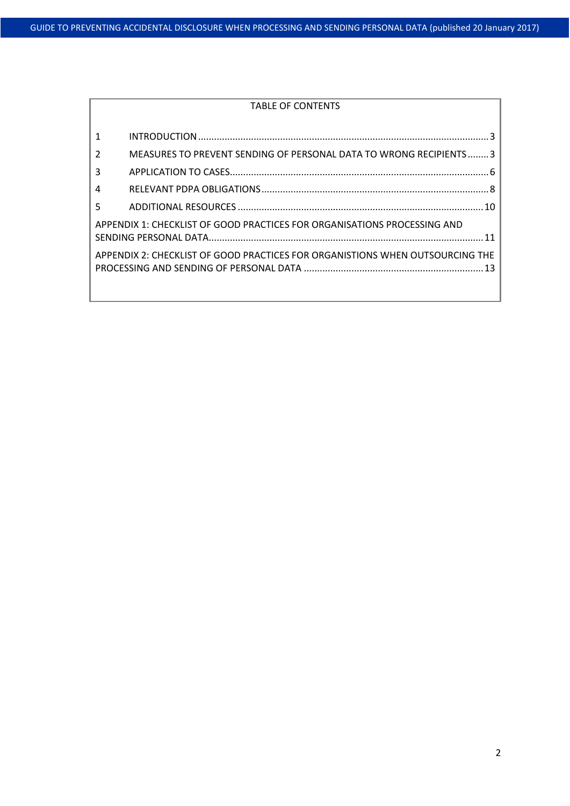#### TABLE OF CONTENTS

| $\overline{2}$                                                                | MEASURES TO PREVENT SENDING OF PERSONAL DATA TO WRONG RECIPIENTS3 |  |  |  |
|-------------------------------------------------------------------------------|-------------------------------------------------------------------|--|--|--|
| 3                                                                             |                                                                   |  |  |  |
| $\overline{4}$                                                                |                                                                   |  |  |  |
| 5                                                                             |                                                                   |  |  |  |
| APPENDIX 1: CHECKLIST OF GOOD PRACTICES FOR ORGANISATIONS PROCESSING AND      |                                                                   |  |  |  |
| APPENDIX 2: CHECKLIST OF GOOD PRACTICES FOR ORGANISTIONS WHEN OUTSOURCING THE |                                                                   |  |  |  |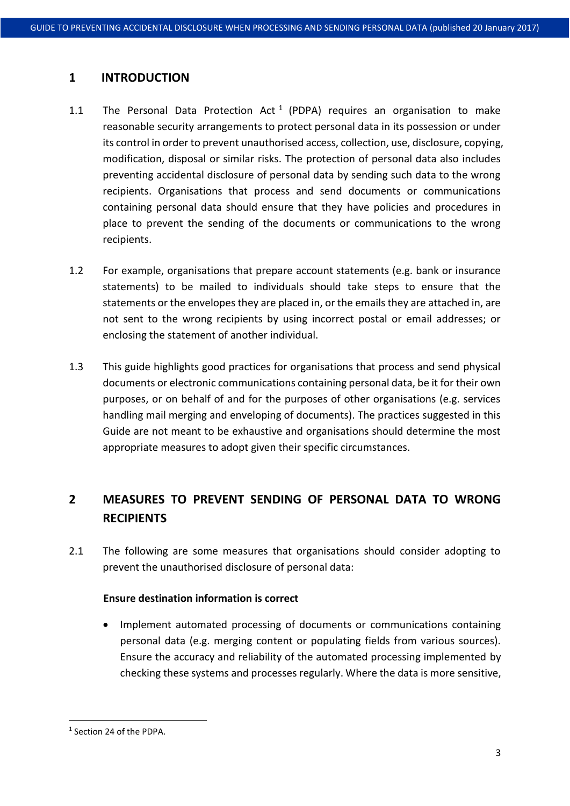# <span id="page-2-0"></span>**1 INTRODUCTION**

- 1.1 The Personal Data Protection Act<sup>1</sup> (PDPA) requires an organisation to make reasonable security arrangements to protect personal data in its possession or under its control in order to prevent unauthorised access, collection, use, disclosure, copying, modification, disposal or similar risks. The protection of personal data also includes preventing accidental disclosure of personal data by sending such data to the wrong recipients. Organisations that process and send documents or communications containing personal data should ensure that they have policies and procedures in place to prevent the sending of the documents or communications to the wrong recipients.
- 1.2 For example, organisations that prepare account statements (e.g. bank or insurance statements) to be mailed to individuals should take steps to ensure that the statements or the envelopes they are placed in, or the emails they are attached in, are not sent to the wrong recipients by using incorrect postal or email addresses; or enclosing the statement of another individual.
- 1.3 This guide highlights good practices for organisations that process and send physical documents or electronic communications containing personal data, be it for their own purposes, or on behalf of and for the purposes of other organisations (e.g. services handling mail merging and enveloping of documents). The practices suggested in this Guide are not meant to be exhaustive and organisations should determine the most appropriate measures to adopt given their specific circumstances.

# <span id="page-2-1"></span>**2 MEASURES TO PREVENT SENDING OF PERSONAL DATA TO WRONG RECIPIENTS**

2.1 The following are some measures that organisations should consider adopting to prevent the unauthorised disclosure of personal data:

# **Ensure destination information is correct**

 Implement automated processing of documents or communications containing personal data (e.g. merging content or populating fields from various sources). Ensure the accuracy and reliability of the automated processing implemented by checking these systems and processes regularly. Where the data is more sensitive,

**.** 

<sup>1</sup> Section 24 of the PDPA.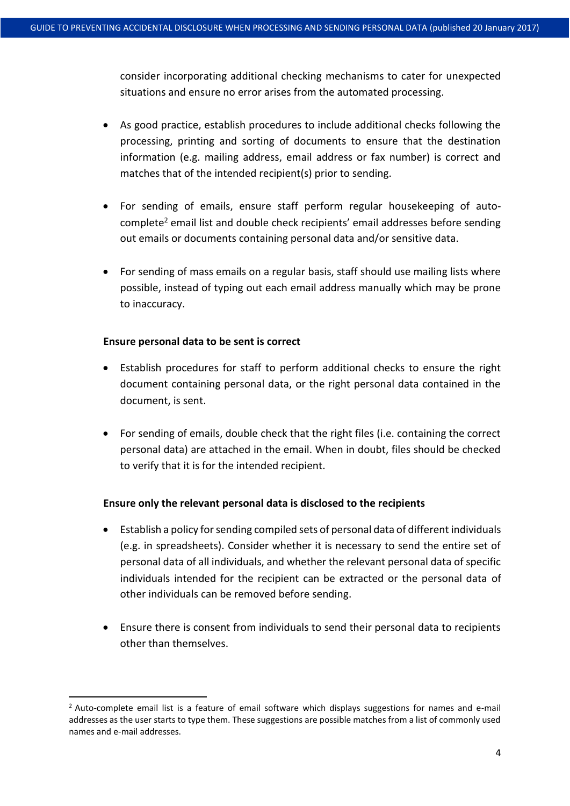consider incorporating additional checking mechanisms to cater for unexpected situations and ensure no error arises from the automated processing.

- As good practice, establish procedures to include additional checks following the processing, printing and sorting of documents to ensure that the destination information (e.g. mailing address, email address or fax number) is correct and matches that of the intended recipient(s) prior to sending.
- For sending of emails, ensure staff perform regular housekeeping of autocomplete<sup>2</sup> email list and double check recipients' email addresses before sending out emails or documents containing personal data and/or sensitive data.
- For sending of mass emails on a regular basis, staff should use mailing lists where possible, instead of typing out each email address manually which may be prone to inaccuracy.

#### **Ensure personal data to be sent is correct**

**.** 

- Establish procedures for staff to perform additional checks to ensure the right document containing personal data, or the right personal data contained in the document, is sent.
- For sending of emails, double check that the right files (i.e. containing the correct personal data) are attached in the email. When in doubt, files should be checked to verify that it is for the intended recipient.

## **Ensure only the relevant personal data is disclosed to the recipients**

- Establish a policy for sending compiled sets of personal data of different individuals (e.g. in spreadsheets). Consider whether it is necessary to send the entire set of personal data of all individuals, and whether the relevant personal data of specific individuals intended for the recipient can be extracted or the personal data of other individuals can be removed before sending.
- Ensure there is consent from individuals to send their personal data to recipients other than themselves.

<sup>&</sup>lt;sup>2</sup> Auto-complete email list is a feature of email software which displays suggestions for names and e-mail addresses as the user starts to type them. These suggestions are possible matches from a list of commonly used names and e-mail addresses.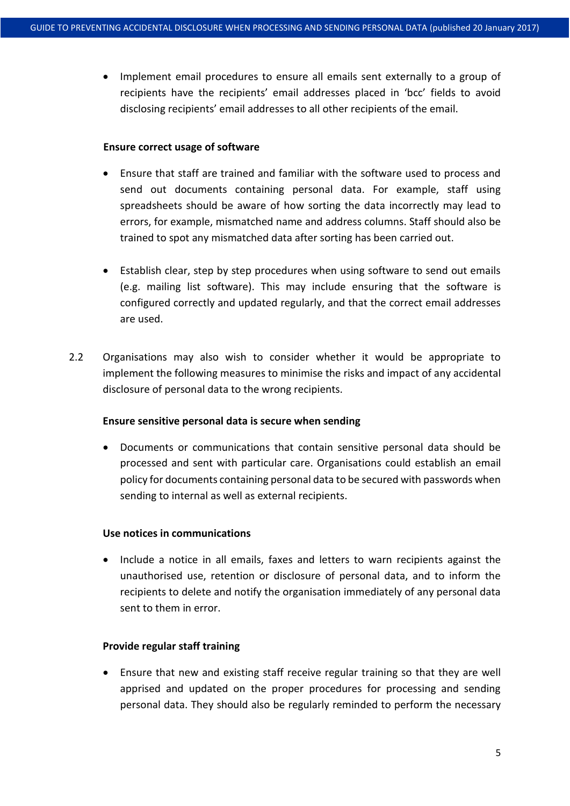• Implement email procedures to ensure all emails sent externally to a group of recipients have the recipients' email addresses placed in 'bcc' fields to avoid disclosing recipients' email addresses to all other recipients of the email.

#### **Ensure correct usage of software**

- Ensure that staff are trained and familiar with the software used to process and send out documents containing personal data. For example, staff using spreadsheets should be aware of how sorting the data incorrectly may lead to errors, for example, mismatched name and address columns. Staff should also be trained to spot any mismatched data after sorting has been carried out.
- Establish clear, step by step procedures when using software to send out emails (e.g. mailing list software). This may include ensuring that the software is configured correctly and updated regularly, and that the correct email addresses are used.
- 2.2 Organisations may also wish to consider whether it would be appropriate to implement the following measures to minimise the risks and impact of any accidental disclosure of personal data to the wrong recipients.

## **Ensure sensitive personal data is secure when sending**

 Documents or communications that contain sensitive personal data should be processed and sent with particular care. Organisations could establish an email policy for documents containing personal data to be secured with passwords when sending to internal as well as external recipients.

#### **Use notices in communications**

 Include a notice in all emails, faxes and letters to warn recipients against the unauthorised use, retention or disclosure of personal data, and to inform the recipients to delete and notify the organisation immediately of any personal data sent to them in error.

## **Provide regular staff training**

 Ensure that new and existing staff receive regular training so that they are well apprised and updated on the proper procedures for processing and sending personal data. They should also be regularly reminded to perform the necessary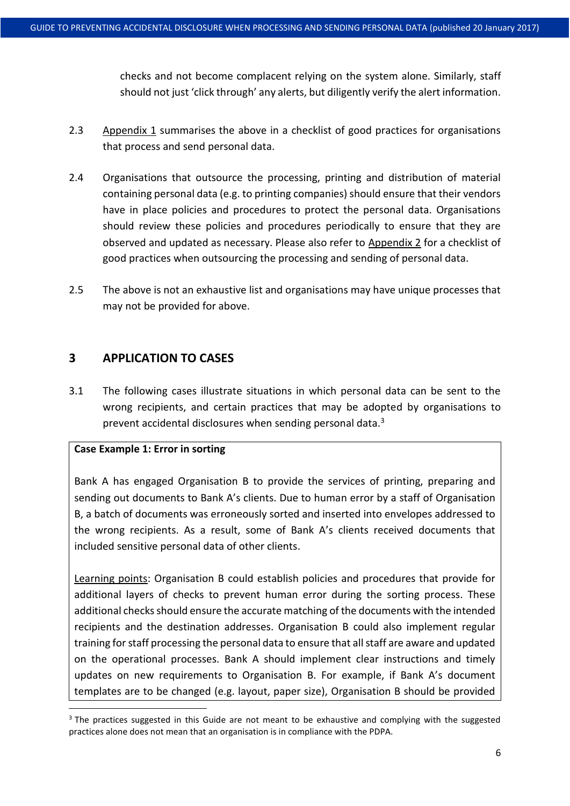checks and not become complacent relying on the system alone. Similarly, staff should not just 'click through' any alerts, but diligently verify the alert information.

- 2.3 Appendix 1 summarises the above in a checklist of good practices for organisations that process and send personal data.
- 2.4 Organisations that outsource the processing, printing and distribution of material containing personal data (e.g. to printing companies) should ensure that their vendors have in place policies and procedures to protect the personal data. Organisations should review these policies and procedures periodically to ensure that they are observed and updated as necessary. Please also refer to Appendix 2 for a checklist of good practices when outsourcing the processing and sending of personal data.
- 2.5 The above is not an exhaustive list and organisations may have unique processes that may not be provided for above.

# <span id="page-5-0"></span>**3 APPLICATION TO CASES**

3.1 The following cases illustrate situations in which personal data can be sent to the wrong recipients, and certain practices that may be adopted by organisations to prevent accidental disclosures when sending personal data.<sup>3</sup>

# **Case Example 1: Error in sorting**

1

Bank A has engaged Organisation B to provide the services of printing, preparing and sending out documents to Bank A's clients. Due to human error by a staff of Organisation B, a batch of documents was erroneously sorted and inserted into envelopes addressed to the wrong recipients. As a result, some of Bank A's clients received documents that included sensitive personal data of other clients.

Learning points: Organisation B could establish policies and procedures that provide for additional layers of checks to prevent human error during the sorting process. These additional checks should ensure the accurate matching of the documents with the intended recipients and the destination addresses. Organisation B could also implement regular training for staff processing the personal data to ensure that all staff are aware and updated on the operational processes. Bank A should implement clear instructions and timely updates on new requirements to Organisation B. For example, if Bank A's document templates are to be changed (e.g. layout, paper size), Organisation B should be provided

 $3$  The practices suggested in this Guide are not meant to be exhaustive and complying with the suggested practices alone does not mean that an organisation is in compliance with the PDPA.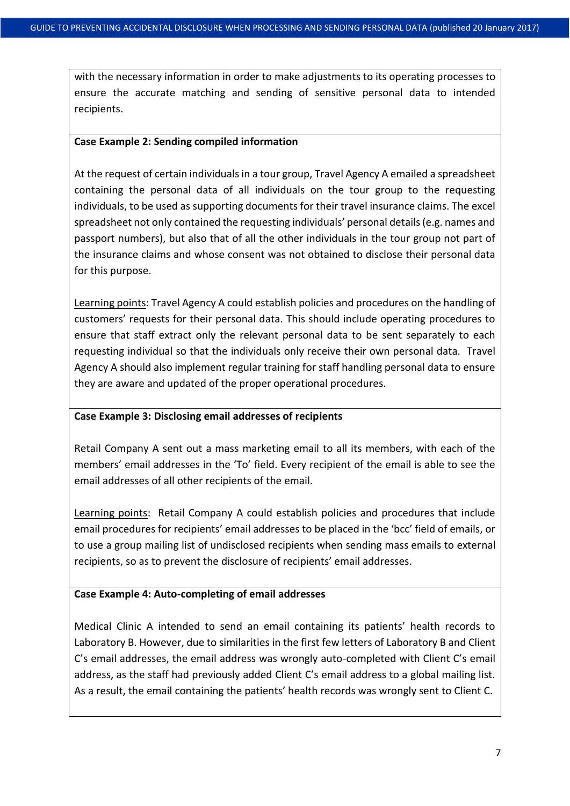with the necessary information in order to make adjustments to its operating processes to ensure the accurate matching and sending of sensitive personal data to intended recipients.

#### **Case Example 2: Sending compiled information**

At the request of certain individuals in a tour group, Travel Agency A emailed a spreadsheet containing the personal data of all individuals on the tour group to the requesting individuals, to be used as supporting documents for their travel insurance claims. The excel spreadsheet not only contained the requesting individuals' personal details (e.g. names and passport numbers), but also that of all the other individuals in the tour group not part of the insurance claims and whose consent was not obtained to disclose their personal data for this purpose.

Learning points: Travel Agency A could establish policies and procedures on the handling of customers' requests for their personal data. This should include operating procedures to ensure that staff extract only the relevant personal data to be sent separately to each requesting individual so that the individuals only receive their own personal data. Travel Agency A should also implement regular training for staff handling personal data to ensure they are aware and updated of the proper operational procedures.

## **Case Example 3: Disclosing email addresses of recipients**

Retail Company A sent out a mass marketing email to all its members, with each of the members' email addresses in the 'To' field. Every recipient of the email is able to see the email addresses of all other recipients of the email.

Learning points: Retail Company A could establish policies and procedures that include email procedures for recipients' email addresses to be placed in the 'bcc' field of emails, or to use a group mailing list of undisclosed recipients when sending mass emails to external recipients, so as to prevent the disclosure of recipients' email addresses.

## **Case Example 4: Auto-completing of email addresses**

Medical Clinic A intended to send an email containing its patients' health records to Laboratory B. However, due to similarities in the first few letters of Laboratory B and Client C's email addresses, the email address was wrongly auto-completed with Client C's email address, as the staff had previously added Client C's email address to a global mailing list. As a result, the email containing the patients' health records was wrongly sent to Client C.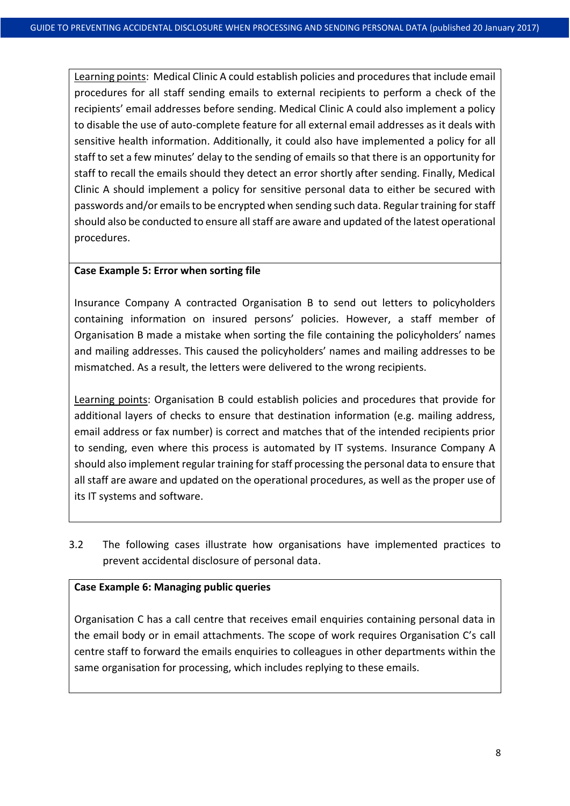Learning points: Medical Clinic A could establish policies and procedures that include email procedures for all staff sending emails to external recipients to perform a check of the recipients' email addresses before sending. Medical Clinic A could also implement a policy to disable the use of auto-complete feature for all external email addresses as it deals with sensitive health information. Additionally, it could also have implemented a policy for all staff to set a few minutes' delay to the sending of emails so that there is an opportunity for staff to recall the emails should they detect an error shortly after sending. Finally, Medical Clinic A should implement a policy for sensitive personal data to either be secured with passwords and/or emails to be encrypted when sending such data. Regular training for staff should also be conducted to ensure all staff are aware and updated of the latest operational procedures.

## **Case Example 5: Error when sorting file**

Insurance Company A contracted Organisation B to send out letters to policyholders containing information on insured persons' policies. However, a staff member of Organisation B made a mistake when sorting the file containing the policyholders' names and mailing addresses. This caused the policyholders' names and mailing addresses to be mismatched. As a result, the letters were delivered to the wrong recipients.

Learning points: Organisation B could establish policies and procedures that provide for additional layers of checks to ensure that destination information (e.g. mailing address, email address or fax number) is correct and matches that of the intended recipients prior to sending, even where this process is automated by IT systems. Insurance Company A should also implement regular training for staff processing the personal data to ensure that all staff are aware and updated on the operational procedures, as well as the proper use of its IT systems and software.

<span id="page-7-0"></span>3.2 The following cases illustrate how organisations have implemented practices to prevent accidental disclosure of personal data.

## **Case Example 6: Managing public queries**

Organisation C has a call centre that receives email enquiries containing personal data in the email body or in email attachments. The scope of work requires Organisation C's call centre staff to forward the emails enquiries to colleagues in other departments within the same organisation for processing, which includes replying to these emails.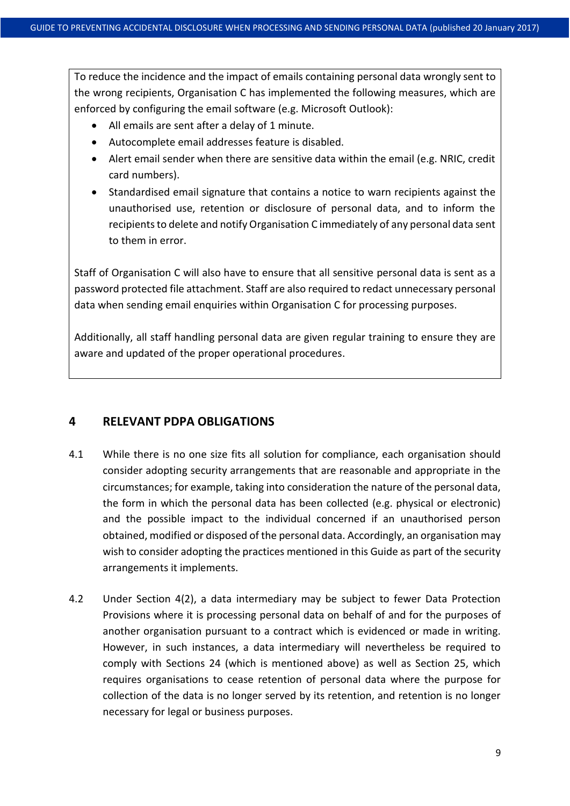To reduce the incidence and the impact of emails containing personal data wrongly sent to the wrong recipients, Organisation C has implemented the following measures, which are enforced by configuring the email software (e.g. Microsoft Outlook):

- All emails are sent after a delay of 1 minute.
- Autocomplete email addresses feature is disabled.
- Alert email sender when there are sensitive data within the email (e.g. NRIC, credit card numbers).
- Standardised email signature that contains a notice to warn recipients against the unauthorised use, retention or disclosure of personal data, and to inform the recipients to delete and notify Organisation C immediately of any personal data sent to them in error.

Staff of Organisation C will also have to ensure that all sensitive personal data is sent as a password protected file attachment. Staff are also required to redact unnecessary personal data when sending email enquiries within Organisation C for processing purposes.

Additionally, all staff handling personal data are given regular training to ensure they are aware and updated of the proper operational procedures.

# **4 RELEVANT PDPA OBLIGATIONS**

- 4.1 While there is no one size fits all solution for compliance, each organisation should consider adopting security arrangements that are reasonable and appropriate in the circumstances; for example, taking into consideration the nature of the personal data, the form in which the personal data has been collected (e.g. physical or electronic) and the possible impact to the individual concerned if an unauthorised person obtained, modified or disposed of the personal data. Accordingly, an organisation may wish to consider adopting the practices mentioned in this Guide as part of the security arrangements it implements.
- 4.2 Under Section 4(2), a data intermediary may be subject to fewer Data Protection Provisions where it is processing personal data on behalf of and for the purposes of another organisation pursuant to a contract which is evidenced or made in writing. However, in such instances, a data intermediary will nevertheless be required to comply with Sections 24 (which is mentioned above) as well as Section 25, which requires organisations to cease retention of personal data where the purpose for collection of the data is no longer served by its retention, and retention is no longer necessary for legal or business purposes.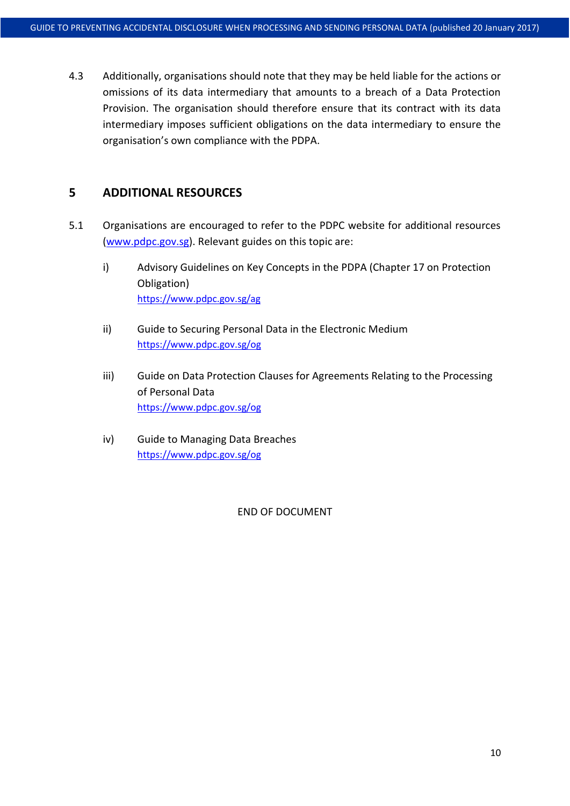4.3 Additionally, organisations should note that they may be held liable for the actions or omissions of its data intermediary that amounts to a breach of a Data Protection Provision. The organisation should therefore ensure that its contract with its data intermediary imposes sufficient obligations on the data intermediary to ensure the organisation's own compliance with the PDPA.

## <span id="page-9-0"></span>**5 ADDITIONAL RESOURCES**

- 5.1 Organisations are encouraged to refer to the PDPC website for additional resources (www.pdpc[.gov.](https://www.pdpc.gov.sg/)sg). Relevant guides on this topic are:
	- i) Advisory Guidelines on Key Concepts in the PDPA (Chapter 17 on Protection Obligation) <https://www.pdpc.gov.sg/ag>
	- ii) Guide to Securing Personal Data in the Electronic Medium <https://www.pdpc.gov.sg/og>
	- iii) Guide on Data Protection Clauses for Agreements Relating to the Processing of Personal Data <https://www.pdpc.gov.sg/og>
	- iv) Guide to Managing Data Breaches <https://www.pdpc.gov.sg/og>

END OF DOCUMENT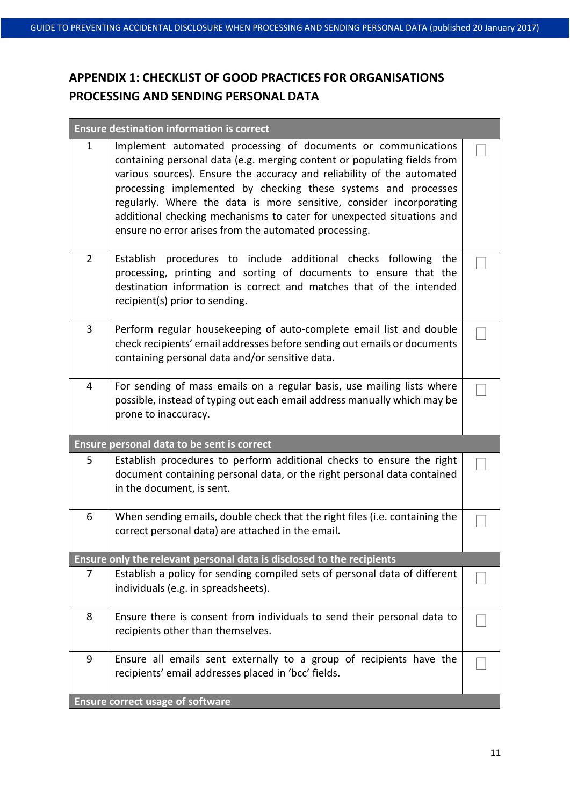# <span id="page-10-0"></span>**APPENDIX 1: CHECKLIST OF GOOD PRACTICES FOR ORGANISATIONS PROCESSING AND SENDING PERSONAL DATA**

| <b>Ensure destination information is correct</b> |                                                                                                                                                                                                                                                                                                                                                                                                                                                                                                |  |  |
|--------------------------------------------------|------------------------------------------------------------------------------------------------------------------------------------------------------------------------------------------------------------------------------------------------------------------------------------------------------------------------------------------------------------------------------------------------------------------------------------------------------------------------------------------------|--|--|
| 1                                                | Implement automated processing of documents or communications<br>containing personal data (e.g. merging content or populating fields from<br>various sources). Ensure the accuracy and reliability of the automated<br>processing implemented by checking these systems and processes<br>regularly. Where the data is more sensitive, consider incorporating<br>additional checking mechanisms to cater for unexpected situations and<br>ensure no error arises from the automated processing. |  |  |
| $\overline{2}$                                   | Establish procedures to include additional checks following<br>the<br>processing, printing and sorting of documents to ensure that the<br>destination information is correct and matches that of the intended<br>recipient(s) prior to sending.                                                                                                                                                                                                                                                |  |  |
| 3                                                | Perform regular housekeeping of auto-complete email list and double<br>check recipients' email addresses before sending out emails or documents<br>containing personal data and/or sensitive data.                                                                                                                                                                                                                                                                                             |  |  |
| 4                                                | For sending of mass emails on a regular basis, use mailing lists where<br>possible, instead of typing out each email address manually which may be<br>prone to inaccuracy.                                                                                                                                                                                                                                                                                                                     |  |  |
|                                                  | <b>Ensure personal data to be sent is correct</b>                                                                                                                                                                                                                                                                                                                                                                                                                                              |  |  |
| 5                                                | Establish procedures to perform additional checks to ensure the right<br>document containing personal data, or the right personal data contained<br>in the document, is sent.                                                                                                                                                                                                                                                                                                                  |  |  |
| 6                                                | When sending emails, double check that the right files (i.e. containing the<br>correct personal data) are attached in the email.                                                                                                                                                                                                                                                                                                                                                               |  |  |
|                                                  | Ensure only the relevant personal data is disclosed to the recipients                                                                                                                                                                                                                                                                                                                                                                                                                          |  |  |
| 7                                                | Establish a policy for sending compiled sets of personal data of different<br>individuals (e.g. in spreadsheets).                                                                                                                                                                                                                                                                                                                                                                              |  |  |
| 8                                                | Ensure there is consent from individuals to send their personal data to<br>recipients other than themselves.                                                                                                                                                                                                                                                                                                                                                                                   |  |  |
| 9                                                | Ensure all emails sent externally to a group of recipients have the<br>recipients' email addresses placed in 'bcc' fields.                                                                                                                                                                                                                                                                                                                                                                     |  |  |
| <b>Ensure correct usage of software</b>          |                                                                                                                                                                                                                                                                                                                                                                                                                                                                                                |  |  |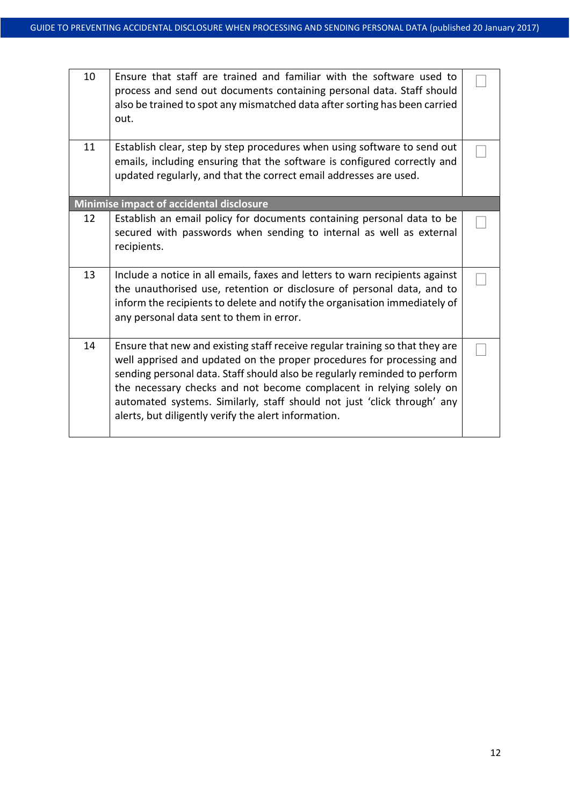| 10                                       | Ensure that staff are trained and familiar with the software used to<br>process and send out documents containing personal data. Staff should<br>also be trained to spot any mismatched data after sorting has been carried<br>out.                                                                                                                                                                                                          |  |  |  |
|------------------------------------------|----------------------------------------------------------------------------------------------------------------------------------------------------------------------------------------------------------------------------------------------------------------------------------------------------------------------------------------------------------------------------------------------------------------------------------------------|--|--|--|
| 11                                       | Establish clear, step by step procedures when using software to send out<br>emails, including ensuring that the software is configured correctly and<br>updated regularly, and that the correct email addresses are used.                                                                                                                                                                                                                    |  |  |  |
| Minimise impact of accidental disclosure |                                                                                                                                                                                                                                                                                                                                                                                                                                              |  |  |  |
| 12                                       | Establish an email policy for documents containing personal data to be<br>secured with passwords when sending to internal as well as external<br>recipients.                                                                                                                                                                                                                                                                                 |  |  |  |
| 13                                       | Include a notice in all emails, faxes and letters to warn recipients against<br>the unauthorised use, retention or disclosure of personal data, and to<br>inform the recipients to delete and notify the organisation immediately of<br>any personal data sent to them in error.                                                                                                                                                             |  |  |  |
| 14                                       | Ensure that new and existing staff receive regular training so that they are<br>well apprised and updated on the proper procedures for processing and<br>sending personal data. Staff should also be regularly reminded to perform<br>the necessary checks and not become complacent in relying solely on<br>automated systems. Similarly, staff should not just 'click through' any<br>alerts, but diligently verify the alert information. |  |  |  |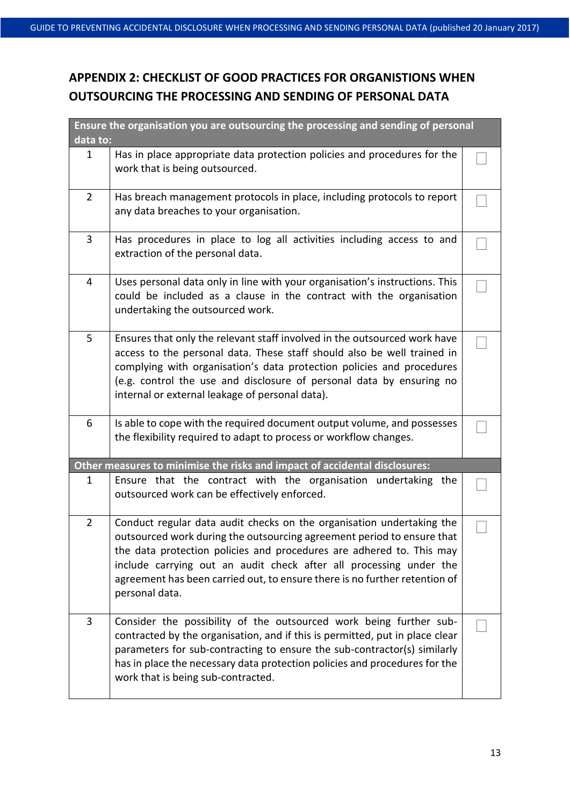# <span id="page-12-0"></span>**APPENDIX 2: CHECKLIST OF GOOD PRACTICES FOR ORGANISTIONS WHEN OUTSOURCING THE PROCESSING AND SENDING OF PERSONAL DATA**

| Ensure the organisation you are outsourcing the processing and sending of personal<br>data to: |                                                                                                                                                                                                                                                                                                                                                                                               |  |  |
|------------------------------------------------------------------------------------------------|-----------------------------------------------------------------------------------------------------------------------------------------------------------------------------------------------------------------------------------------------------------------------------------------------------------------------------------------------------------------------------------------------|--|--|
| $\mathbf{1}$                                                                                   | Has in place appropriate data protection policies and procedures for the<br>work that is being outsourced.                                                                                                                                                                                                                                                                                    |  |  |
| $\overline{2}$                                                                                 | Has breach management protocols in place, including protocols to report<br>any data breaches to your organisation.                                                                                                                                                                                                                                                                            |  |  |
| 3                                                                                              | Has procedures in place to log all activities including access to and<br>extraction of the personal data.                                                                                                                                                                                                                                                                                     |  |  |
| $\overline{4}$                                                                                 | Uses personal data only in line with your organisation's instructions. This<br>could be included as a clause in the contract with the organisation<br>undertaking the outsourced work.                                                                                                                                                                                                        |  |  |
| 5                                                                                              | Ensures that only the relevant staff involved in the outsourced work have<br>access to the personal data. These staff should also be well trained in<br>complying with organisation's data protection policies and procedures<br>(e.g. control the use and disclosure of personal data by ensuring no<br>internal or external leakage of personal data).                                      |  |  |
| 6                                                                                              | Is able to cope with the required document output volume, and possesses<br>the flexibility required to adapt to process or workflow changes.                                                                                                                                                                                                                                                  |  |  |
|                                                                                                | Other measures to minimise the risks and impact of accidental disclosures:                                                                                                                                                                                                                                                                                                                    |  |  |
| 1                                                                                              | Ensure that the contract with the organisation undertaking the<br>outsourced work can be effectively enforced.                                                                                                                                                                                                                                                                                |  |  |
| $\overline{2}$                                                                                 | Conduct regular data audit checks on the organisation undertaking the<br>outsourced work during the outsourcing agreement period to ensure that<br>the data protection policies and procedures are adhered to. This may<br>include carrying out an audit check after all processing under the<br>agreement has been carried out, to ensure there is no further retention of<br>personal data. |  |  |
| $\overline{3}$                                                                                 | Consider the possibility of the outsourced work being further sub-<br>contracted by the organisation, and if this is permitted, put in place clear<br>parameters for sub-contracting to ensure the sub-contractor(s) similarly<br>has in place the necessary data protection policies and procedures for the<br>work that is being sub-contracted.                                            |  |  |